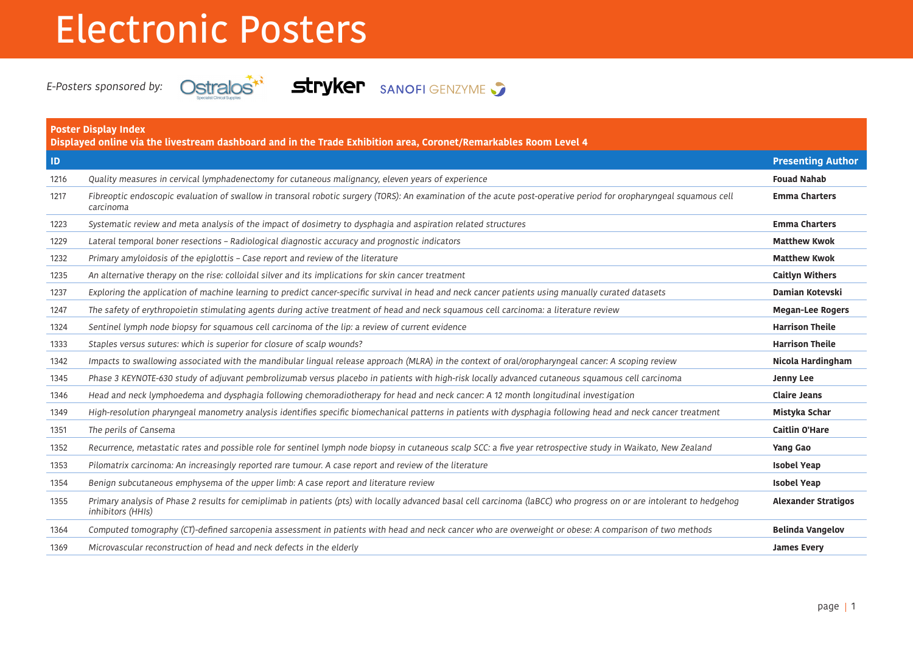## Electronic Posters



E-Posters sponsored by: **Ostralos<sup>\*\*</sup> Stryker** SANOFI GENZYME

| <b>Poster Display Index</b><br>Displayed online via the livestream dashboard and in the Trade Exhibition area, Coronet/Remarkables Room Level 4 |                                                                                                                                                                                            |                            |
|-------------------------------------------------------------------------------------------------------------------------------------------------|--------------------------------------------------------------------------------------------------------------------------------------------------------------------------------------------|----------------------------|
| $\blacksquare$                                                                                                                                  |                                                                                                                                                                                            | <b>Presenting Author</b>   |
| 1216                                                                                                                                            | Quality measures in cervical lymphadenectomy for cutaneous malignancy, eleven years of experience                                                                                          | <b>Fouad Nahab</b>         |
| 1217                                                                                                                                            | Fibreoptic endoscopic evaluation of swallow in transoral robotic surgery (TORS): An examination of the acute post-operative period for oropharyngeal squamous cell<br>carcinoma            | <b>Emma Charters</b>       |
| 1223                                                                                                                                            | Systematic review and meta analysis of the impact of dosimetry to dysphagia and aspiration related structures                                                                              | <b>Emma Charters</b>       |
| 1229                                                                                                                                            | Lateral temporal boner resections - Radiological diagnostic accuracy and prognostic indicators                                                                                             | <b>Matthew Kwok</b>        |
| 1232                                                                                                                                            | Primary amyloidosis of the epiglottis - Case report and review of the literature                                                                                                           | <b>Matthew Kwok</b>        |
| 1235                                                                                                                                            | An alternative therapy on the rise: colloidal silver and its implications for skin cancer treatment                                                                                        | <b>Caitlyn Withers</b>     |
| 1237                                                                                                                                            | Exploring the application of machine learning to predict cancer-specific survival in head and neck cancer patients using manually curated datasets                                         | Damian Kotevski            |
| 1247                                                                                                                                            | The safety of erythropoietin stimulating agents during active treatment of head and neck squamous cell carcinoma: a literature review                                                      | <b>Megan-Lee Rogers</b>    |
| 1324                                                                                                                                            | Sentinel lymph node biopsy for squamous cell carcinoma of the lip: a review of current evidence                                                                                            | <b>Harrison Theile</b>     |
| 1333                                                                                                                                            | Staples versus sutures: which is superior for closure of scalp wounds?                                                                                                                     | <b>Harrison Theile</b>     |
| 1342                                                                                                                                            | Impacts to swallowing associated with the mandibular lingual release approach (MLRA) in the context of oral/oropharyngeal cancer: A scoping review                                         | Nicola Hardingham          |
| 1345                                                                                                                                            | Phase 3 KEYNOTE-630 study of adjuvant pembrolizumab versus placebo in patients with high-risk locally advanced cutaneous squamous cell carcinoma                                           | <b>Jenny Lee</b>           |
| 1346                                                                                                                                            | Head and neck lymphoedema and dysphagia following chemoradiotherapy for head and neck cancer: A 12 month longitudinal investigation                                                        | <b>Claire Jeans</b>        |
| 1349                                                                                                                                            | High-resolution pharyngeal manometry analysis identifies specific biomechanical patterns in patients with dysphagia following head and neck cancer treatment                               | Mistyka Schar              |
| 1351                                                                                                                                            | The perils of Cansema                                                                                                                                                                      | <b>Caitlin O'Hare</b>      |
| 1352                                                                                                                                            | Recurrence, metastatic rates and possible role for sentinel lymph node biopsy in cutaneous scalp SCC: a five year retrospective study in Waikato, New Zealand                              | <b>Yang Gao</b>            |
| 1353                                                                                                                                            | Pilomatrix carcinoma: An increasingly reported rare tumour. A case report and review of the literature                                                                                     | <b>Isobel Yeap</b>         |
| 1354                                                                                                                                            | Benign subcutaneous emphysema of the upper limb: A case report and literature review                                                                                                       | <b>Isobel Yeap</b>         |
| 1355                                                                                                                                            | Primary analysis of Phase 2 results for cemiplimab in patients (pts) with locally advanced basal cell carcinoma (laBCC) who progress on or are intolerant to hedgehog<br>inhibitors (HHIs) | <b>Alexander Stratigos</b> |
| 1364                                                                                                                                            | Computed tomography (CT)-defined sarcopenia assessment in patients with head and neck cancer who are overweight or obese: A comparison of two methods                                      | <b>Belinda Vangelov</b>    |
| 1369                                                                                                                                            | Microvascular reconstruction of head and neck defects in the elderly                                                                                                                       | <b>James Every</b>         |